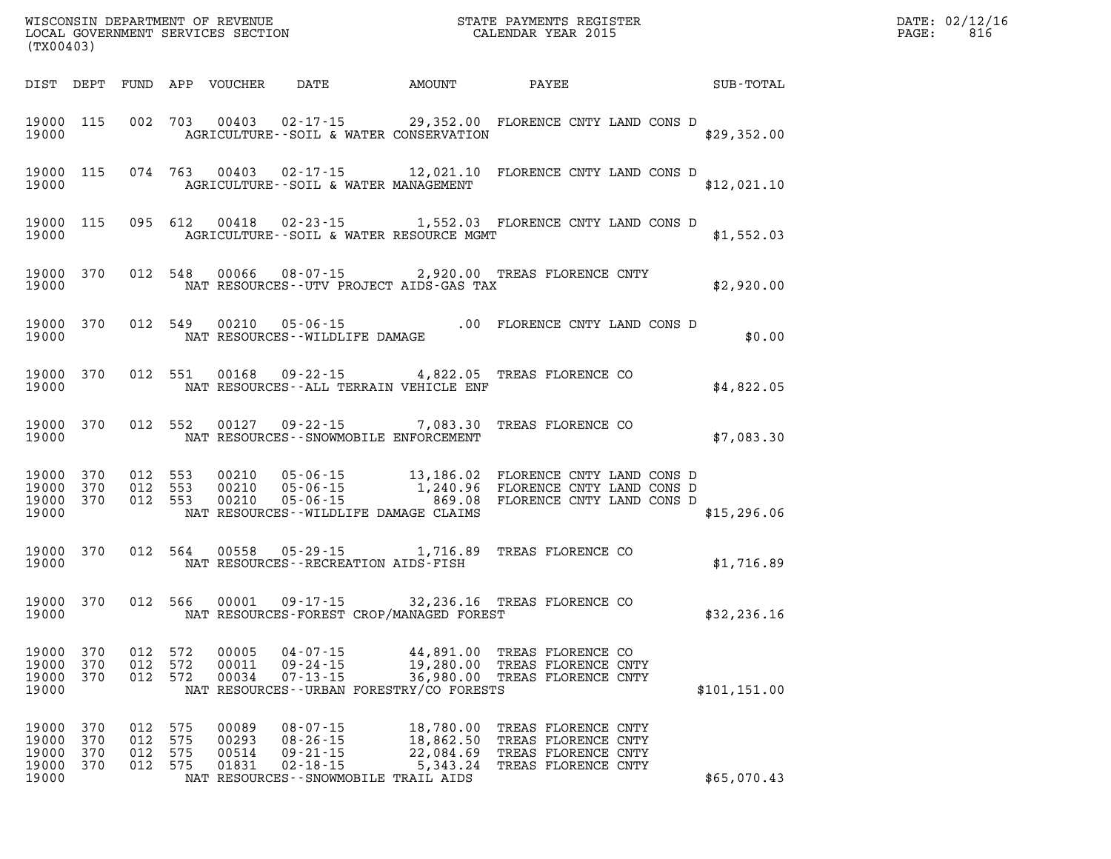|                                           | WISCONSIN DEPARTMENT OF REVENUE<br>LOCAL GOVERNMENT SERVICES SECTION TERMS CONFINENTS REGISTER<br>CALENDAR YEAR 2015<br>(TX00403) |                          |                          |                                  |                                                                      | $\mathbb{R}^n$                                                                             |                                                                                                                                                                                    |  |               | PAGE: | DATE: 02/12/16<br>816 |  |
|-------------------------------------------|-----------------------------------------------------------------------------------------------------------------------------------|--------------------------|--------------------------|----------------------------------|----------------------------------------------------------------------|--------------------------------------------------------------------------------------------|------------------------------------------------------------------------------------------------------------------------------------------------------------------------------------|--|---------------|-------|-----------------------|--|
|                                           |                                                                                                                                   |                          |                          | DIST DEPT FUND APP VOUCHER       | DATE                                                                 | <b>AMOUNT</b>                                                                              | PAYEE                                                                                                                                                                              |  | SUB-TOTAL     |       |                       |  |
| 19000                                     |                                                                                                                                   |                          |                          |                                  |                                                                      | AGRICULTURE--SOIL & WATER CONSERVATION                                                     | 19000 115 002 703 00403 02-17-15 29,352.00 FLORENCE CNTY LAND CONS D                                                                                                               |  | \$29,352.00   |       |                       |  |
| 19000                                     |                                                                                                                                   |                          |                          |                                  |                                                                      | AGRICULTURE--SOIL & WATER MANAGEMENT                                                       | 19000 115 074 763 00403 02-17-15 12,021.10 FLORENCE CNTY LAND CONS D                                                                                                               |  | \$12,021.10   |       |                       |  |
| 19000                                     |                                                                                                                                   |                          |                          |                                  |                                                                      | AGRICULTURE--SOIL & WATER RESOURCE MGMT                                                    | 19000 115 095 612 00418 02-23-15 1,552.03 FLORENCE CNTY LAND CONS D                                                                                                                |  | \$1,552.03    |       |                       |  |
| 19000                                     | 19000 370                                                                                                                         |                          |                          |                                  |                                                                      | NAT RESOURCES--UTV PROJECT AIDS-GAS TAX                                                    | 012 548 00066 08-07-15 2,920.00 TREAS FLORENCE CNTY                                                                                                                                |  | \$2,920.00    |       |                       |  |
| 19000                                     | 19000 370                                                                                                                         |                          | 012 549                  |                                  |                                                                      |                                                                                            | 49  00210  05-06-15   00  FLORENCE CNTY LAND CONS D<br>NAT RESOURCES--WILDLIFE DAMAGE                                                                                              |  | \$0.00        |       |                       |  |
| 19000                                     | 19000 370                                                                                                                         |                          | 012 551                  |                                  |                                                                      | NAT RESOURCES -- ALL TERRAIN VEHICLE ENF                                                   | 00168  09-22-15  4,822.05  TREAS FLORENCE CO                                                                                                                                       |  | \$4.822.05    |       |                       |  |
| 19000                                     | 19000 370                                                                                                                         |                          | 012 552                  |                                  |                                                                      | NAT RESOURCES--SNOWMOBILE ENFORCEMENT                                                      | 00127 09-22-15 7,083.30 TREAS FLORENCE CO                                                                                                                                          |  | \$7,083.30    |       |                       |  |
| 19000 370<br>19000 370<br>19000           | 19000 370                                                                                                                         |                          |                          |                                  |                                                                      | NAT RESOURCES--WILDLIFE DAMAGE CLAIMS                                                      | 012 553 00210 05-06-15 13,186.02 FLORENCE CNTY LAND CONS D<br>012 553 00210 05-06-15 1,240.96 FLORENCE CNTY LAND CONS D<br>012 553 00210 05-06-15 869.08 FLORENCE CNTY LAND CONS D |  | \$15,296.06   |       |                       |  |
| 19000                                     | 19000 370                                                                                                                         |                          | 012 564                  |                                  |                                                                      | NAT RESOURCES - - RECREATION AIDS - FISH                                                   | 00558  05-29-15  1,716.89  TREAS FLORENCE CO                                                                                                                                       |  | \$1,716.89    |       |                       |  |
| 19000                                     | 19000 370                                                                                                                         |                          |                          |                                  |                                                                      | NAT RESOURCES-FOREST CROP/MANAGED FOREST                                                   | 012 566 00001 09-17-15 32,236.16 TREAS FLORENCE CO                                                                                                                                 |  | \$32, 236.16  |       |                       |  |
| 19000<br>19000<br>19000<br>19000          | 370<br>370<br>370                                                                                                                 | 012<br>012<br>012        | 572<br>572<br>572        | 00005<br>00011<br>00034          | $04 - 07 - 15$<br>$09 - 24 - 15$<br>$07 - 13 - 15$                   | 44,891.00<br>19,280.00<br>36,980.00<br>NAT RESOURCES - - URBAN FORESTRY/CO FORESTS         | TREAS FLORENCE CO<br>TREAS FLORENCE CNTY<br>TREAS FLORENCE CNTY                                                                                                                    |  | \$101, 151.00 |       |                       |  |
| 19000<br>19000<br>19000<br>19000<br>19000 | 370<br>370<br>370<br>370                                                                                                          | 012<br>012<br>012<br>012 | 575<br>575<br>575<br>575 | 00089<br>00293<br>00514<br>01831 | $08 - 07 - 15$<br>$08 - 26 - 15$<br>$09 - 21 - 15$<br>$02 - 18 - 15$ | 18,780.00<br>18,862.50<br>22,084.69<br>5,343.24<br>NAT RESOURCES - - SNOWMOBILE TRAIL AIDS | TREAS FLORENCE CNTY<br>TREAS FLORENCE CNTY<br>TREAS FLORENCE CNTY<br>TREAS FLORENCE CNTY                                                                                           |  | \$65,070.43   |       |                       |  |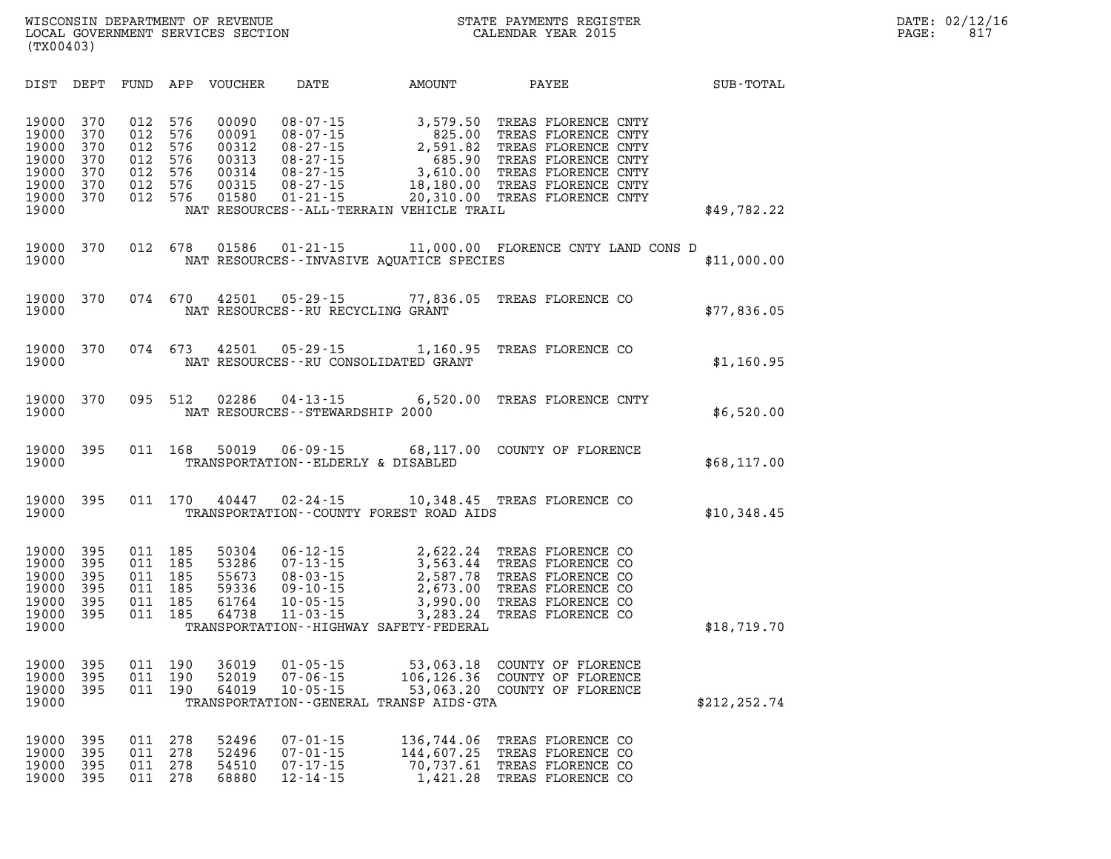| DIST                                                                 | DEPT                                          | FUND                                          | APP                                           | VOUCHER                                                     | DATE                                                                                                                | AMOUNT                                                                                                                        | PAYEE                                                                                                                                                         | SUB-TOTAL     |
|----------------------------------------------------------------------|-----------------------------------------------|-----------------------------------------------|-----------------------------------------------|-------------------------------------------------------------|---------------------------------------------------------------------------------------------------------------------|-------------------------------------------------------------------------------------------------------------------------------|---------------------------------------------------------------------------------------------------------------------------------------------------------------|---------------|
| 19000<br>19000<br>19000<br>19000<br>19000<br>19000<br>19000<br>19000 | 370<br>370<br>370<br>370<br>370<br>370<br>370 | 012<br>012<br>012<br>012<br>012<br>012<br>012 | 576<br>576<br>576<br>576<br>576<br>576<br>576 | 00090<br>00091<br>00312<br>00313<br>00314<br>00315<br>01580 | 08-07-15<br>08-07-15<br>$08 - 27 - 15$<br>$08 - 27 - 15$<br>$08 - 27 - 15$<br>$08 - 27 - 15$<br>$01 - 21 - 15$      | 3,579.50<br>825.00<br>2,591.82<br>685.90<br>3,610.00<br>18,180.00<br>20,310.00<br>NAT RESOURCES - - ALL-TERRAIN VEHICLE TRAIL | TREAS FLORENCE CNTY<br>TREAS FLORENCE CNTY<br>TREAS FLORENCE CNTY<br>TREAS FLORENCE CNTY<br>TREAS FLORENCE CNTY<br>TREAS FLORENCE CNTY<br>TREAS FLORENCE CNTY | \$49,782.22   |
| 19000<br>19000                                                       | 370                                           | 012                                           | 678                                           | 01586                                                       |                                                                                                                     | NAT RESOURCES - - INVASIVE AQUATICE SPECIES                                                                                   | 01-21-15 11,000.00 FLORENCE CNTY LAND CONS D                                                                                                                  | \$11,000.00   |
| 19000<br>19000                                                       | 370                                           | 074                                           | 670                                           | 42501                                                       | $05 - 29 - 15$<br>NAT RESOURCES - - RU RECYCLING GRANT                                                              | 77,836.05                                                                                                                     | TREAS FLORENCE CO                                                                                                                                             | \$77,836.05   |
| 19000<br>19000                                                       | 370                                           | 074                                           | 673                                           | 42501                                                       | $05 - 29 - 15$<br>NAT RESOURCES - - RU CONSOLIDATED GRANT                                                           | 1,160.95                                                                                                                      | TREAS FLORENCE CO                                                                                                                                             | \$1,160.95    |
| 19000<br>19000                                                       | 370                                           | 095                                           | 512                                           | 02286                                                       | NAT RESOURCES - - STEWARDSHIP 2000                                                                                  | $04 - 13 - 15$ 6,520.00                                                                                                       | TREAS FLORENCE CNTY                                                                                                                                           | \$6,520.00    |
| 19000<br>19000                                                       | 395                                           | 011                                           | 168                                           | 50019                                                       | TRANSPORTATION--ELDERLY & DISABLED                                                                                  |                                                                                                                               | 06-09-15 68,117.00 COUNTY OF FLORENCE                                                                                                                         | \$68,117.00   |
| 19000<br>19000                                                       | 395                                           | 011                                           | 170                                           | 40447                                                       |                                                                                                                     | TRANSPORTATION--COUNTY FOREST ROAD AIDS                                                                                       | 02-24-15    10,348.45    TREAS FLORENCE CO                                                                                                                    | \$10,348.45   |
| 19000<br>19000<br>19000<br>19000<br>19000<br>19000<br>19000          | 395<br>395<br>395<br>395<br>395<br>395        | 011<br>011<br>011<br>011<br>011<br>011        | 185<br>185<br>185<br>185<br>185<br>185        | 50304<br>53286<br>55673<br>59336<br>61764<br>64738          | $06 - 12 - 15$<br>$00 - 12$<br>07 - 13 - 15<br>$08 - 03 - 15$<br>$09 - 10 - 15$<br>$10 - 05 - 15$<br>$11 - 03 - 15$ | 2,622.24<br>3,563.44<br>2,587.78<br>2,673.00<br>3,990.00<br>3,283.24<br>TRANSPORTATION - - HIGHWAY SAFETY - FEDERAL           | TREAS FLORENCE CO<br>TREAS FLORENCE CO<br>TREAS FLORENCE CO<br>TREAS FLORENCE CO<br>TREAS FLORENCE CO<br>TREAS FLORENCE CO                                    | \$18,719.70   |
| 19000<br>19000<br>19000<br>19000                                     | 395<br>395<br>395                             | 011<br>011<br>011                             | 190<br>190<br>190                             | 36019<br>52019<br>64019                                     | $01 - 05 - 15$<br>$07 - 06 - 15$<br>$10 - 05 - 15$                                                                  | 53,063.18<br>106,126.36<br>TRANSPORTATION--GENERAL TRANSP AIDS-GTA                                                            | COUNTY OF FLORENCE<br>COUNTY OF FLORENCE<br>53,063.20 COUNTY OF FLORENCE                                                                                      | \$212, 252.74 |
| 19000<br>19000<br>19000<br>19000                                     | 395<br>395<br>395<br>395                      | 011<br>011<br>011<br>011                      | 278<br>278<br>278<br>278                      | 52496<br>52496<br>54510<br>68880                            | $07 - 01 - 15$<br>$07 - 01 - 15$<br>$07 - 17 - 15$<br>$12 - 14 - 15$                                                | 136,744.06<br>144,607.25<br>70,737.61<br>1,421.28                                                                             | TREAS FLORENCE CO<br>TREAS FLORENCE CO<br>TREAS FLORENCE CO<br>TREAS FLORENCE CO                                                                              |               |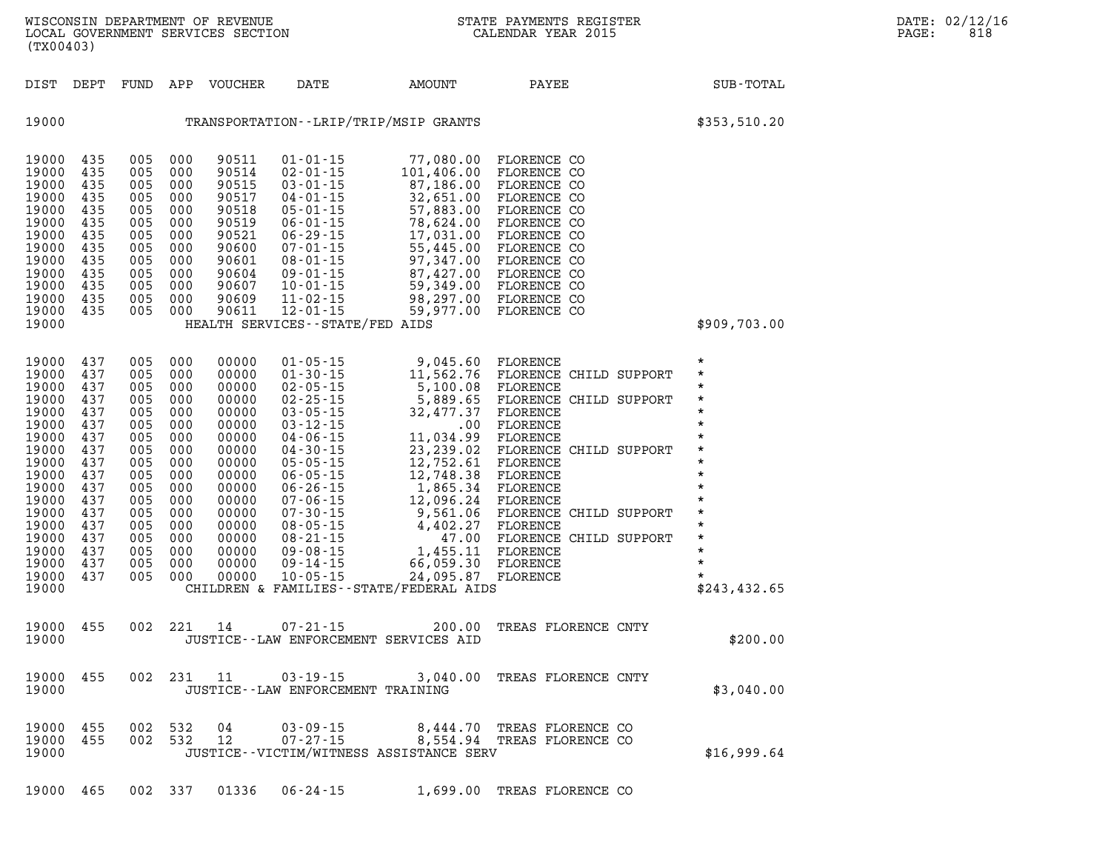| (TX00403)                                                                                                                                                               |                                                                                                                            |                                                                                                                            |                                                                                                                            | WISCONSIN DEPARTMENT OF REVENUE<br>LOCAL GOVERNMENT SERVICES SECTION                                                                                           | $\mathbf{N}$                                                                                                                                                              | STATE PAYMENTS REGISTER<br>CALENDAR YEAR 2015                                                                                                                                                                                                                                                                                                                                                                                                                              |                                                                                                                                                                                                                                                                                                                            |                                                                                                                                                                                   | DATE: 02/12/16<br>PAGE:<br>818 |
|-------------------------------------------------------------------------------------------------------------------------------------------------------------------------|----------------------------------------------------------------------------------------------------------------------------|----------------------------------------------------------------------------------------------------------------------------|----------------------------------------------------------------------------------------------------------------------------|----------------------------------------------------------------------------------------------------------------------------------------------------------------|---------------------------------------------------------------------------------------------------------------------------------------------------------------------------|----------------------------------------------------------------------------------------------------------------------------------------------------------------------------------------------------------------------------------------------------------------------------------------------------------------------------------------------------------------------------------------------------------------------------------------------------------------------------|----------------------------------------------------------------------------------------------------------------------------------------------------------------------------------------------------------------------------------------------------------------------------------------------------------------------------|-----------------------------------------------------------------------------------------------------------------------------------------------------------------------------------|--------------------------------|
|                                                                                                                                                                         |                                                                                                                            |                                                                                                                            |                                                                                                                            | DIST DEPT FUND APP VOUCHER                                                                                                                                     | DATE                                                                                                                                                                      | AMOUNT                                                                                                                                                                                                                                                                                                                                                                                                                                                                     | PAYEE                                                                                                                                                                                                                                                                                                                      | SUB-TOTAL                                                                                                                                                                         |                                |
| 19000                                                                                                                                                                   |                                                                                                                            |                                                                                                                            |                                                                                                                            |                                                                                                                                                                |                                                                                                                                                                           | TRANSPORTATION--LRIP/TRIP/MSIP GRANTS                                                                                                                                                                                                                                                                                                                                                                                                                                      |                                                                                                                                                                                                                                                                                                                            | \$353,510.20                                                                                                                                                                      |                                |
| 19000 435<br>19000<br>19000<br>19000<br>19000<br>19000<br>19000<br>19000<br>19000<br>19000<br>19000<br>19000<br>19000<br>19000                                          | 435<br>435<br>435<br>435<br>435<br>435<br>435<br>435<br>435<br>435<br>435<br>435                                           | 005<br>005<br>005<br>005<br>005<br>005<br>005<br>005<br>005<br>005<br>005 000<br>005<br>005                                | 000<br>000<br>000<br>000<br>000<br>000<br>000<br>000<br>000<br>000<br>000<br>000                                           | 90511<br>90514<br>90515<br>90517<br>90518<br>90519<br>90521<br>90600<br>90601<br>90604<br>90609<br>90611                                                       | 01-01-15<br>$02 - 01 - 15$<br>$03 - 01 - 15$<br>04-01-15<br>$06 - 01 - 15$<br>09-01-15<br>90607 10-01-15<br>11-02-15<br>$12 - 01 - 15$<br>HEALTH SERVICES--STATE/FED AIDS | 77,080.00 FLORENCE CO<br>87,186.00 FLORENCE CO<br>32,651.00<br>04 - 01 - 15 32,651.00<br>05 - 01 - 15 57,883.00<br>78,624.00<br>06-01-15<br>06-29-15<br>07-01-15<br>08-01-15<br>08-01-15<br>08-01-15<br>07,347.00<br>87,427.00<br>98,297.00                                                                                                                                                                                                                                | 101,406.00 FLORENCE CO<br>FLORENCE CO<br>FLORENCE CO<br>FLORENCE CO<br>FLORENCE CO<br>FLORENCE CO<br>FLORENCE CO<br>FLORENCE CO<br>59,349.00 FLORENCE CO<br>FLORENCE CO<br>59,977.00 FLORENCE CO                                                                                                                           | \$909,703.00                                                                                                                                                                      |                                |
| 19000<br>19000<br>19000<br>19000<br>19000<br>19000<br>19000<br>19000<br>19000<br>19000<br>19000<br>19000<br>19000<br>19000<br>19000<br>19000<br>19000<br>19000<br>19000 | 437<br>437<br>437<br>437<br>437<br>437<br>437<br>437<br>437<br>437<br>437<br>437<br>437<br>437<br>437<br>437<br>437<br>437 | 005<br>005<br>005<br>005<br>005<br>005<br>005<br>005<br>005<br>005<br>005<br>005<br>005<br>005<br>005<br>005<br>005<br>005 | 000<br>000<br>000<br>000<br>000<br>000<br>000<br>000<br>000<br>000<br>000<br>000<br>000<br>000<br>000<br>000<br>000<br>000 | 00000<br>00000<br>00000<br>00000<br>00000<br>00000<br>00000<br>00000<br>00000<br>00000<br>00000<br>00000<br>00000<br>00000<br>00000<br>00000<br>00000<br>00000 | $01 - 05 - 15$<br>$01 - 30 - 15$<br>$10 - 05 - 15$                                                                                                                        | 9,045.60 FLORENCE<br>02-05-15 5,100.08 FLORENCE<br>02-25-15<br>03-05-15<br>03-05-15<br>03-05-15<br>04-06-15<br>04-30-15<br>05-05-15<br>05-05-15<br>05-05-15<br>05-07-15<br>05-07-15<br>05-07-15<br>07-72.61<br>07-742<br>07-742<br>07-742<br>07-752.61<br>PLORENCE<br>07-08-08<br>07-08-08<br>07-08-08<br>07-08-08<br>07-08-0<br>06-05-15<br>06-05-15 12, 48.30 LORENCE<br>06-26-15 1, 865.34 FLORENCE<br>24,095.87 FLORENCE<br>CHILDREN & FAMILIES - - STATE/FEDERAL AIDS | 11,562.76 FLORENCE CHILD SUPPORT<br>5,889.65 FLORENCE CHILD SUPPORT<br>FLORENCE CHILD SUPPORT<br>07-06-15<br>07-30-15 12,096.24 FLORENCE<br>07-30-15 9,561.06 FLORENCE CHILD SUPPORT<br>08-05-15<br>08-21-15<br>08-21-15<br>09-08-15<br>09-14-15<br>09-14-15<br>06,059.30<br>FLORENCE<br>09-14-15<br>06,059.30<br>FLORENCE | $\star$<br>$\star$<br>$\star$<br>$\star$<br>$\star$<br>$\star$<br>$\star$<br>$\star$<br>$\star$<br>$\star$<br>$\star$<br>$\star$<br>$\star$<br>$\star$<br>$\star$<br>\$243,432.65 |                                |
| 19000 455<br>19000                                                                                                                                                      |                                                                                                                            |                                                                                                                            |                                                                                                                            | 002 221 14                                                                                                                                                     | 07-21-15                                                                                                                                                                  | JUSTICE -- LAW ENFORCEMENT SERVICES AID                                                                                                                                                                                                                                                                                                                                                                                                                                    | 200.00 TREAS FLORENCE CNTY                                                                                                                                                                                                                                                                                                 | \$200.00                                                                                                                                                                          |                                |
| 19000                                                                                                                                                                   | 19000 455                                                                                                                  |                                                                                                                            |                                                                                                                            |                                                                                                                                                                | JUSTICE--LAW ENFORCEMENT TRAINING                                                                                                                                         |                                                                                                                                                                                                                                                                                                                                                                                                                                                                            | 002 231 11 03-19-15 3,040.00 TREAS FLORENCE CNTY                                                                                                                                                                                                                                                                           | \$3,040.00                                                                                                                                                                        |                                |
| 19000 455<br>19000                                                                                                                                                      | 19000 455                                                                                                                  |                                                                                                                            |                                                                                                                            |                                                                                                                                                                |                                                                                                                                                                           | JUSTICE--VICTIM/WITNESS ASSISTANCE SERV                                                                                                                                                                                                                                                                                                                                                                                                                                    | 002 532 04 03-09-15 8,444.70 TREAS FLORENCE CO<br>002 532 12 07-27-15 8,554.94 TREAS FLORENCE CO                                                                                                                                                                                                                           | \$16,999.64                                                                                                                                                                       |                                |

**19000 465 002 337 01336 06-24-15 1,699.00 TREAS FLORENCE CO**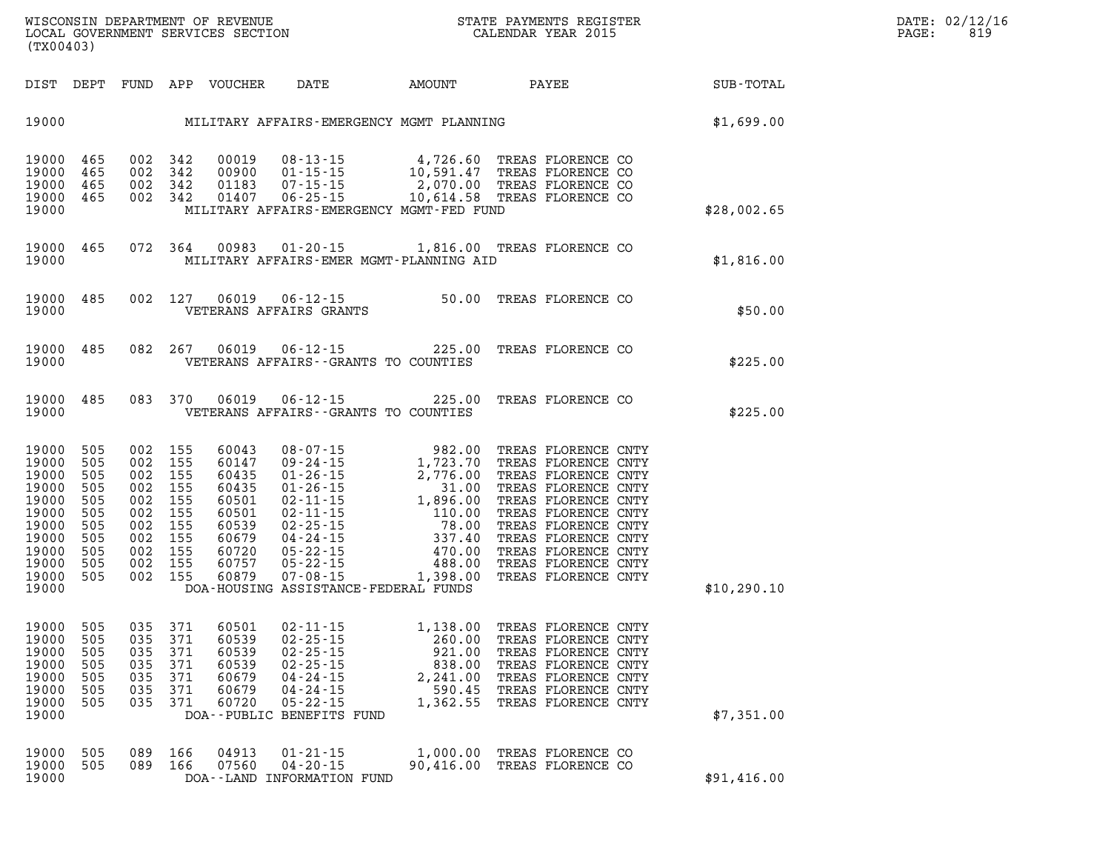| DIST                                                                                                     | DEPT                                                                      | FUND                                                                      | APP                                                                       | <b>VOUCHER</b>                                                                                  | DATE                                                                                                                                                                                               | <b>AMOUNT</b>                                                                                                                                            | PAYEE                                                                                                                                                                                                                                                     | SUB-TOTAL   |
|----------------------------------------------------------------------------------------------------------|---------------------------------------------------------------------------|---------------------------------------------------------------------------|---------------------------------------------------------------------------|-------------------------------------------------------------------------------------------------|----------------------------------------------------------------------------------------------------------------------------------------------------------------------------------------------------|----------------------------------------------------------------------------------------------------------------------------------------------------------|-----------------------------------------------------------------------------------------------------------------------------------------------------------------------------------------------------------------------------------------------------------|-------------|
| 19000                                                                                                    |                                                                           |                                                                           |                                                                           |                                                                                                 |                                                                                                                                                                                                    | MILITARY AFFAIRS-EMERGENCY MGMT PLANNING                                                                                                                 |                                                                                                                                                                                                                                                           | \$1,699.00  |
| 19000<br>19000<br>19000<br>19000<br>19000                                                                | 465<br>465<br>465<br>465                                                  | 002<br>002<br>002<br>002                                                  | 342<br>342<br>342<br>342                                                  | 00019<br>00900<br>01183<br>01407                                                                | $08 - 13 - 15$<br>$01 - 15 - 15$<br>$07 - 15 - 15$<br>$06 - 25 - 15$                                                                                                                               | 4,726.60<br>10,591.47<br>2,070.00<br>10,614.58<br>MILITARY AFFAIRS-EMERGENCY MGMT-FED FUND                                                               | TREAS FLORENCE CO<br>TREAS FLORENCE CO<br>TREAS FLORENCE CO<br>TREAS FLORENCE CO                                                                                                                                                                          | \$28,002.65 |
| 19000<br>19000                                                                                           | 465                                                                       | 072                                                                       | 364                                                                       | 00983                                                                                           | $01 - 20 - 15$                                                                                                                                                                                     | 1,816.00<br>MILITARY AFFAIRS-EMER MGMT-PLANNING AID                                                                                                      | TREAS FLORENCE CO                                                                                                                                                                                                                                         | \$1,816.00  |
| 19000<br>19000                                                                                           | 485                                                                       | 002                                                                       | 127                                                                       | 06019                                                                                           | $06 - 12 - 15$<br>VETERANS AFFAIRS GRANTS                                                                                                                                                          | 50.00                                                                                                                                                    | TREAS FLORENCE CO                                                                                                                                                                                                                                         | \$50.00     |
| 19000<br>19000                                                                                           | 485                                                                       | 082                                                                       | 267                                                                       | 06019                                                                                           | $06 - 12 - 15$                                                                                                                                                                                     | 225.00<br>VETERANS AFFAIRS -- GRANTS TO COUNTIES                                                                                                         | TREAS FLORENCE CO                                                                                                                                                                                                                                         | \$225.00    |
| 19000<br>19000                                                                                           | 485                                                                       | 083                                                                       | 370                                                                       | 06019                                                                                           | $06 - 12 - 15$                                                                                                                                                                                     | 225.00<br>VETERANS AFFAIRS -- GRANTS TO COUNTIES                                                                                                         | TREAS FLORENCE CO                                                                                                                                                                                                                                         | \$225.00    |
| 19000<br>19000<br>19000<br>19000<br>19000<br>19000<br>19000<br>19000<br>19000<br>19000<br>19000<br>19000 | 505<br>505<br>505<br>505<br>505<br>505<br>505<br>505<br>505<br>505<br>505 | 002<br>002<br>002<br>002<br>002<br>002<br>002<br>002<br>002<br>002<br>002 | 155<br>155<br>155<br>155<br>155<br>155<br>155<br>155<br>155<br>155<br>155 | 60043<br>60147<br>60435<br>60435<br>60501<br>60501<br>60539<br>60679<br>60720<br>60757<br>60879 | $08 - 07 - 15$<br>$09 - 24 - 15$<br>$01 - 26 - 15$<br>$01 - 26 - 15$<br>$02 - 11 - 15$<br>$02 - 11 - 15$<br>$02 - 25 - 15$<br>$04 - 24 - 15$<br>$05 - 22 - 15$<br>$05 - 22 - 15$<br>$07 - 08 - 15$ | 982.00<br>1,723.70<br>2,776.00<br>31.00<br>1,896.00<br>110.00<br>78.00<br>337.40<br>470.00<br>488.00<br>1,398.00<br>DOA-HOUSING ASSISTANCE-FEDERAL FUNDS | TREAS FLORENCE CNTY<br>TREAS FLORENCE CNTY<br>TREAS FLORENCE CNTY<br>TREAS FLORENCE CNTY<br>TREAS FLORENCE CNTY<br>TREAS FLORENCE CNTY<br>TREAS FLORENCE CNTY<br>TREAS FLORENCE CNTY<br>TREAS FLORENCE CNTY<br>TREAS FLORENCE CNTY<br>TREAS FLORENCE CNTY | \$10,290.10 |
| 19000<br>19000<br>19000<br>19000<br>19000<br>19000<br>19000<br>19000                                     | 505<br>505<br>505<br>505<br>505<br>505<br>505                             | 035<br>035<br>035<br>035<br>035<br>035<br>035                             | 371<br>371<br>371<br>371<br>371<br>371<br>371                             | 60501<br>60539<br>60539<br>60539<br>60679<br>60679<br>60720                                     | $02 - 11 - 15$<br>$02 - 25 - 15$<br>$02 - 25 - 15$<br>$02 - 25 - 15$<br>$04 - 24 - 15$<br>$04 - 24 - 15$<br>$05 - 22 - 15$<br>DOA--PUBLIC BENEFITS FUND                                            | 1,138.00<br>260.00<br>921.00<br>838.00<br>2,241.00<br>590.45<br>1,362.55                                                                                 | TREAS FLORENCE CNTY<br>TREAS FLORENCE CNTY<br>TREAS FLORENCE CNTY<br>TREAS FLORENCE CNTY<br>TREAS FLORENCE CNTY<br>TREAS FLORENCE CNTY<br>TREAS FLORENCE CNTY                                                                                             | \$7,351.00  |
| 19000<br>19000<br>19000                                                                                  | 505<br>505                                                                | 089<br>089                                                                | 166<br>166                                                                | 04913<br>07560                                                                                  | $01 - 21 - 15$<br>$04 - 20 - 15$<br>DOA--LAND INFORMATION FUND                                                                                                                                     | 1,000.00<br>90,416.00                                                                                                                                    | TREAS FLORENCE CO<br>TREAS FLORENCE CO                                                                                                                                                                                                                    | \$91,416.00 |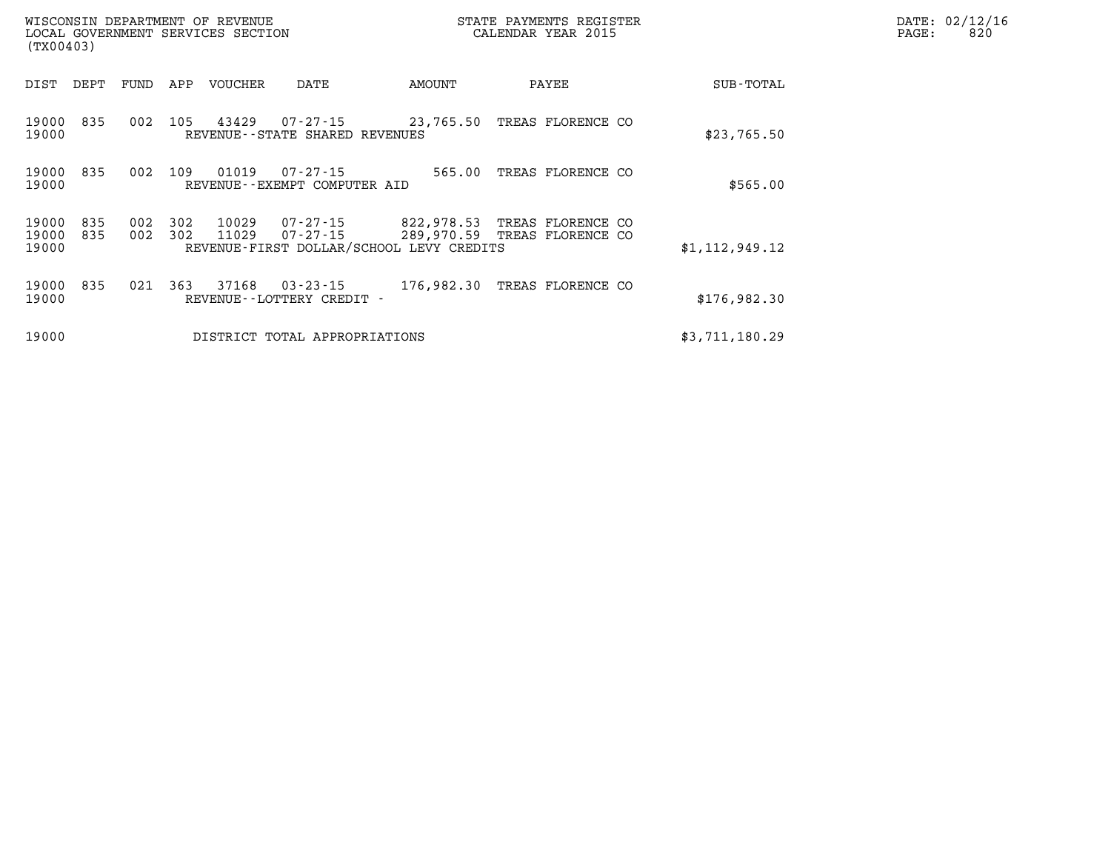| (TX00403)               |            |            |            | WISCONSIN DEPARTMENT OF REVENUE<br>LOCAL GOVERNMENT SERVICES SECTION |                                                |                                                        | STATE PAYMENTS REGISTER<br>CALENDAR YEAR 2015     | DATE: 02/12/16<br>820<br>PAGE: |  |
|-------------------------|------------|------------|------------|----------------------------------------------------------------------|------------------------------------------------|--------------------------------------------------------|---------------------------------------------------|--------------------------------|--|
| DIST                    | DEPT       | FUND       | APP        | VOUCHER                                                              | DATE                                           | AMOUNT                                                 | PAYEE                                             | SUB-TOTAL                      |  |
| 19000<br>19000          | 835        | 002        | 105        | 43429                                                                | 07-27-15<br>REVENUE--STATE SHARED REVENUES     | 23,765.50                                              | TREAS FLORENCE CO                                 | \$23,765.50                    |  |
| 19000 835<br>19000      |            | 002        | 109        | 01019                                                                | 07-27-15<br>REVENUE--EXEMPT COMPUTER AID       | 565.00                                                 | TREAS FLORENCE CO                                 | \$565.00                       |  |
| 19000<br>19000<br>19000 | 835<br>835 | 002<br>002 | 302<br>302 | 10029<br>11029                                                       | 07-27-15<br>07-27-15                           | 822,978.53<br>REVENUE-FIRST DOLLAR/SCHOOL LEVY CREDITS | TREAS FLORENCE CO<br>289,970.59 TREAS FLORENCE CO | \$1,112,949.12                 |  |
| 19000<br>19000          | 835        | 021        | 363        | 37168                                                                | $03 - 23 - 15$<br>REVENUE - - LOTTERY CREDIT - | 176,982.30                                             | TREAS FLORENCE CO                                 | \$176,982.30                   |  |
| 19000                   |            |            |            |                                                                      | DISTRICT TOTAL APPROPRIATIONS                  |                                                        |                                                   | \$3,711,180.29                 |  |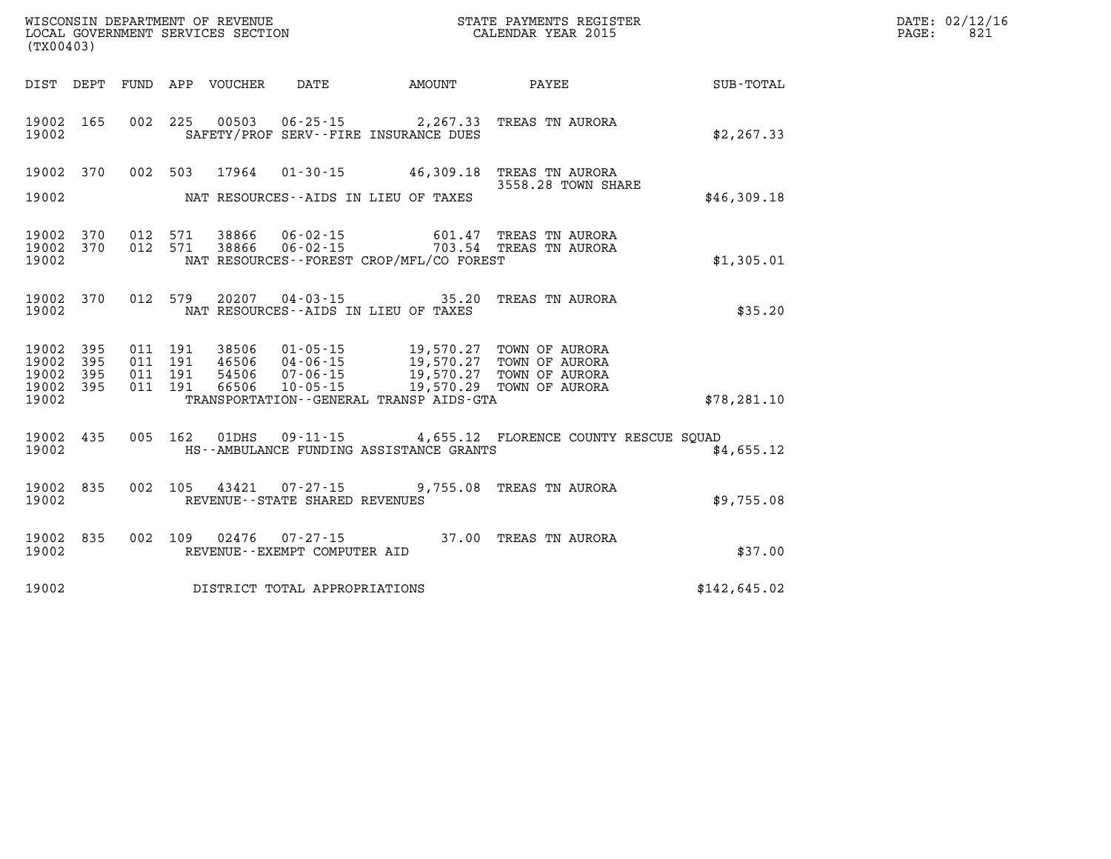| (TX00403)      |                                      |                    |                    | WISCONSIN DEPARTMENT OF REVENUE<br>LOCAL GOVERNMENT SERVICES SECTION |                                |                                             | STATE PAYMENTS REGISTER<br>CALENDAR YEAR 2015                                                                                                                                     |              | DATE: 02/12/16<br>PAGE:<br>821 |
|----------------|--------------------------------------|--------------------|--------------------|----------------------------------------------------------------------|--------------------------------|---------------------------------------------|-----------------------------------------------------------------------------------------------------------------------------------------------------------------------------------|--------------|--------------------------------|
|                |                                      |                    |                    | DIST DEPT FUND APP VOUCHER DATE                                      |                                |                                             | AMOUNT PAYEE                                                                                                                                                                      | SUB-TOTAL    |                                |
| 19002          | 19002 165                            |                    |                    |                                                                      |                                | SAFETY/PROF SERV--FIRE INSURANCE DUES       | 002 225 00503 06-25-15 2,267.33 TREAS TN AURORA                                                                                                                                   | \$2, 267.33  |                                |
| 19002          | 19002 370                            |                    |                    |                                                                      |                                | NAT RESOURCES--AIDS IN LIEU OF TAXES        | 002 503 17964 01-30-15 46,309.18 TREAS TN AURORA<br>3558.28 TOWN SHARE                                                                                                            | \$46,309.18  |                                |
|                |                                      |                    |                    |                                                                      |                                |                                             |                                                                                                                                                                                   |              |                                |
| 19002          | 19002 370<br>19002 370               | 012 571<br>012 571 |                    |                                                                      |                                | NAT RESOURCES - - FOREST CROP/MFL/CO FOREST |                                                                                                                                                                                   | \$1,305.01   |                                |
| 19002          | 19002 370                            |                    |                    |                                                                      |                                | NAT RESOURCES--AIDS IN LIEU OF TAXES        | 012 579 20207 04-03-15 35.20 TREAS TN AURORA                                                                                                                                      | \$35.20      |                                |
| 19002<br>19002 | 19002 395<br>395<br>395<br>19002 395 | 011 191<br>011 191 | 011 191<br>011 191 |                                                                      |                                |                                             | 38506  01-05-15  19,570.27  TOWN OF AURORA<br>46506  04-06-15  19,570.27 TOWN OF AURORA<br>54506  07-06-15  19,570.27 TOWN OF AURORA<br>66506  10-05-15  19,570.29 TOWN OF AURORA |              |                                |
| 19002          |                                      |                    |                    |                                                                      |                                | TRANSPORTATION--GENERAL TRANSP AIDS-GTA     |                                                                                                                                                                                   | \$78, 281.10 |                                |
| 19002          |                                      |                    |                    |                                                                      |                                | HS--AMBULANCE FUNDING ASSISTANCE GRANTS     | 19002 435 005 162 01DHS 09-11-15 4,655.12 FLORENCE COUNTY RESCUE SQUAD                                                                                                            | \$4,655.12   |                                |
| 19002          | 19002 835                            |                    |                    |                                                                      | REVENUE--STATE SHARED REVENUES |                                             | 002 105 43421 07-27-15 9,755.08 TREAS TN AURORA                                                                                                                                   | \$9,755.08   |                                |
| 19002          |                                      |                    |                    |                                                                      | REVENUE--EXEMPT COMPUTER AID   |                                             | 19002 835 002 109 02476 07-27-15 37.00 TREAS TN AURORA                                                                                                                            | \$37.00      |                                |
| 19002          |                                      |                    |                    |                                                                      | DISTRICT TOTAL APPROPRIATIONS  |                                             |                                                                                                                                                                                   | \$142,645.02 |                                |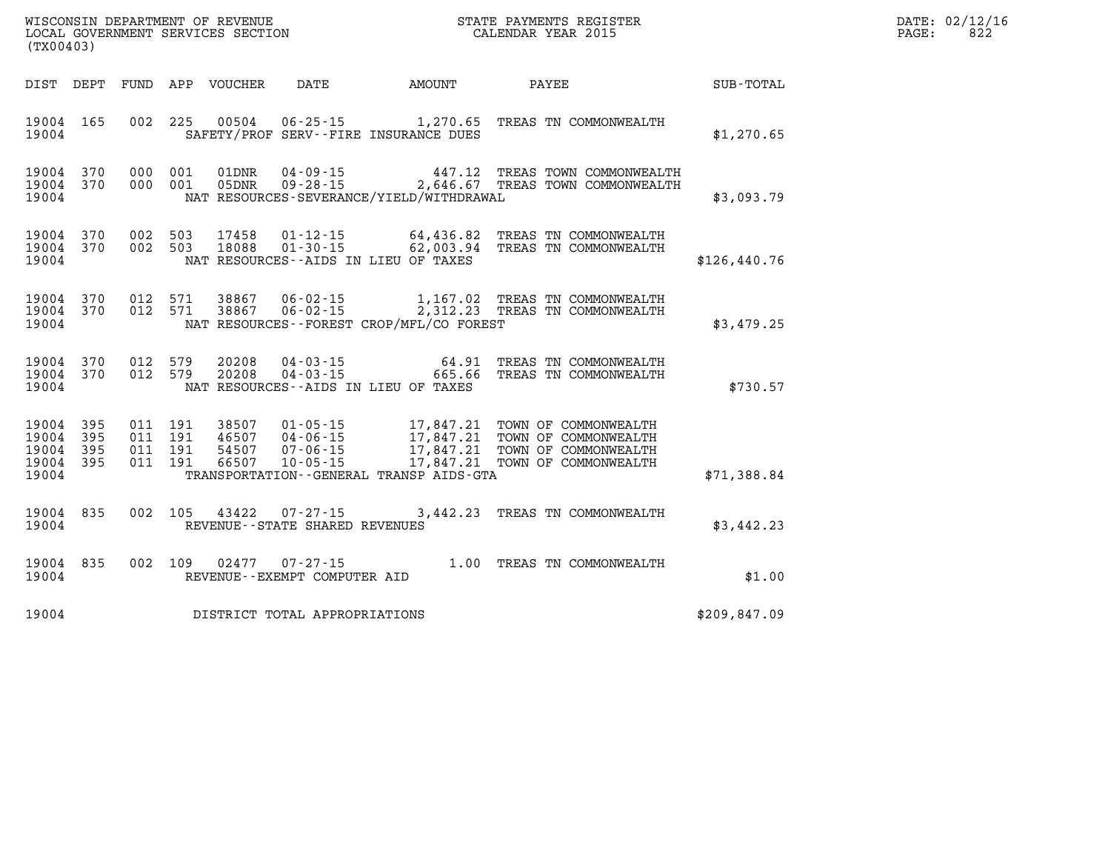| (TX00403)               |            |            |            | WISCONSIN DEPARTMENT OF REVENUE<br>LOCAL GOVERNMENT SERVICES SECTION |                                                                                              |                        | STATE PAYMENTS REGISTER<br>CALENDAR YEAR 2015      |               | DATE: 02/12/16<br>822<br>PAGE: |
|-------------------------|------------|------------|------------|----------------------------------------------------------------------|----------------------------------------------------------------------------------------------|------------------------|----------------------------------------------------|---------------|--------------------------------|
| DIST                    | DEPT       | FUND       | APP        | VOUCHER                                                              | DATE                                                                                         | AMOUNT                 | PAYEE                                              | SUB-TOTAL     |                                |
| 19004<br>19004          | 165        | 002        | 225        | 00504                                                                | 06-25-15 1,270.65<br>SAFETY/PROF SERV--FIRE INSURANCE DUES                                   |                        | TREAS TN COMMONWEALTH                              | \$1,270.65    |                                |
| 19004<br>19004<br>19004 | 370<br>370 | 000<br>000 | 001<br>001 | 01DNR<br>05DNR                                                       | $04 - 09 - 15$ 447.12<br>$09 - 28 - 15$ 2,646.67<br>NAT RESOURCES-SEVERANCE/YIELD/WITHDRAWAL |                        | TREAS TOWN COMMONWEALTH<br>TREAS TOWN COMMONWEALTH | \$3,093.79    |                                |
| 19004<br>19004<br>19004 | 370<br>370 | 002<br>002 | 503<br>503 | 17458<br>18088                                                       | 01-12-15<br>$01 - 30 - 15$<br>NAT RESOURCES--AIDS IN LIEU OF TAXES                           | 64,436.82<br>62,003.94 | TREAS TN COMMONWEALTH<br>TREAS TN COMMONWEALTH     | \$126, 440.76 |                                |

| 19004 370 012 571 |  |  | 19004 370 012 571 38867 06-02-15<br>38867 06-02-15 |                                          | 1,167.02 TREAS TN COMMONWEALTH<br>2,312.23 TREAS TN COMMONWEALTH |            |
|-------------------|--|--|----------------------------------------------------|------------------------------------------|------------------------------------------------------------------|------------|
| 19004             |  |  |                                                    | NAT RESOURCES--FOREST CROP/MFL/CO FOREST |                                                                  | \$3,479.25 |

| 19004 370 012 579 |  | 20208 | $04 - 03 - 15$                       |  | 64.91 TREAS TN COMMONWEALTH  |          |
|-------------------|--|-------|--------------------------------------|--|------------------------------|----------|
| 19004 370 012 579 |  |       | 20208  04-03-15                      |  | 665.66 TREAS TN COMMONWEALTH |          |
| 19004             |  |       | NAT RESOURCES--AIDS IN LIEU OF TAXES |  |                              | \$730.57 |

|                   |  |       | 19004 395 011 191 38507 01-05-15 |                                         |  | 17,847.21 TOWN OF COMMONWEALTH |             |
|-------------------|--|-------|----------------------------------|-----------------------------------------|--|--------------------------------|-------------|
| 19004 395 011 191 |  | 46507 | 04 - 06 - 15                     |                                         |  | 17,847.21 TOWN OF COMMONWEALTH |             |
|                   |  |       | 19004 395 011 191 54507 07-06-15 |                                         |  | 17,847.21 TOWN OF COMMONWEALTH |             |
|                   |  |       | 19004 395 011 191 66507 10-05-15 |                                         |  | 17,847.21 TOWN OF COMMONWEALTH |             |
| 19004             |  |       |                                  | TRANSPORTATION--GENERAL TRANSP AIDS-GTA |  |                                | \$71,388.84 |

| 19004<br>19004 | 835 | 002 | 105<br>43422<br>07-27-15<br>REVENUE--STATE SHARED REVENUES | 3,442.23 | TREAS TN COMMONWEALTH | \$3,442.23 |
|----------------|-----|-----|------------------------------------------------------------|----------|-----------------------|------------|
| 19004<br>19004 | 835 | 002 | 109<br>02477<br>07-27-15<br>REVENUE--EXEMPT COMPUTER AID   | 1.00     | TREAS TN COMMONWEALTH | \$1.00     |

**19004 DISTRICT TOTAL APPROPRIATIONS \$209,847.09**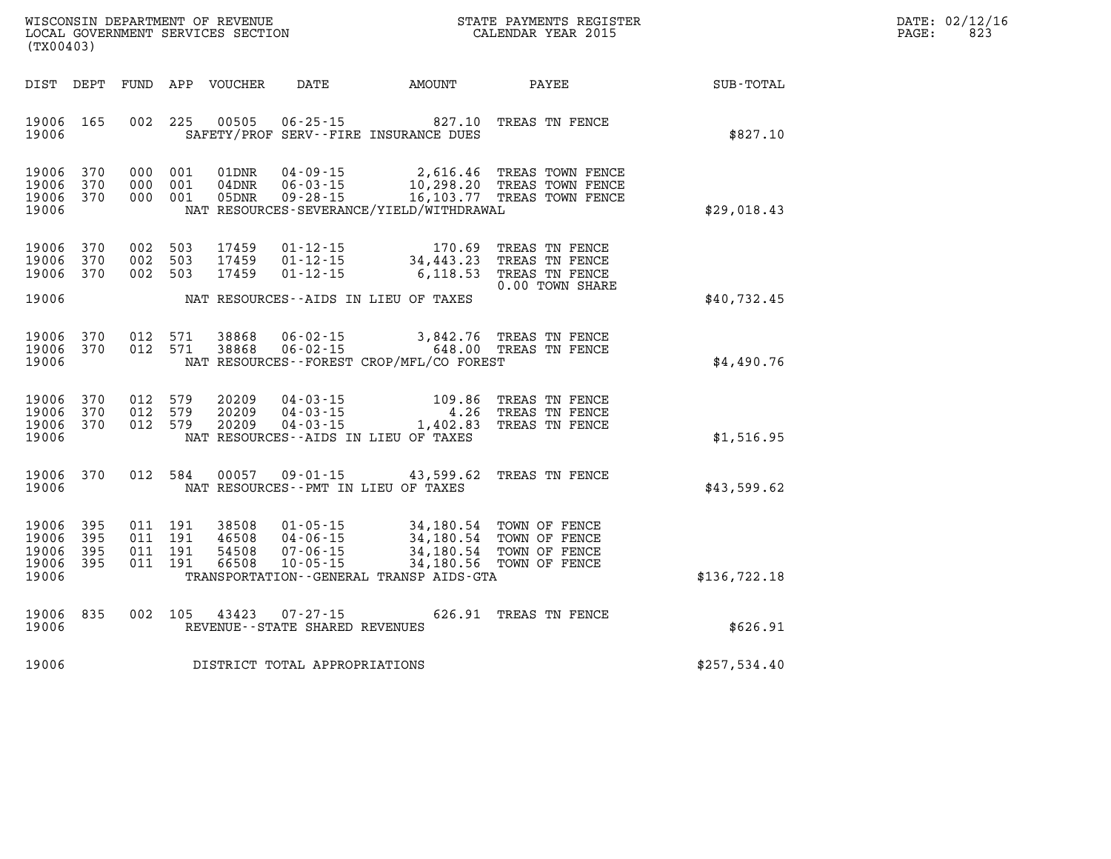| DATE:             | 02/12/16 |
|-------------------|----------|
| $\mathtt{PAGE}$ : | 823      |

| WISCONSIN DEPARTMENT OF REVENUE<br>(TX00403)                                                      | LOCAL GOVERNMENT SERVICES SECTION                                                                                                                                               |                                                  | STATE PAYMENTS REGISTER<br>CALENDAR YEAR 2015                         |                  |
|---------------------------------------------------------------------------------------------------|---------------------------------------------------------------------------------------------------------------------------------------------------------------------------------|--------------------------------------------------|-----------------------------------------------------------------------|------------------|
| DIST<br>DEPT<br>FUND                                                                              | APP<br><b>VOUCHER</b><br>DATE                                                                                                                                                   | AMOUNT                                           | PAYEE                                                                 | <b>SUB-TOTAL</b> |
| 165<br>002<br>19006<br>19006                                                                      | 225<br>00505<br>$06 - 25 - 15$<br>SAFETY/PROF SERV--FIRE INSURANCE DUES                                                                                                         | 827.10                                           | TREAS TN FENCE                                                        | \$827.10         |
| 370<br>19006<br>000<br>19006<br>370<br>000<br>19006<br>370<br>000<br>19006                        | 001<br>01DNR<br>$04 - 09 - 15$<br>001<br>04DNR<br>$06 - 03 - 15$<br>001<br>05DNR<br>$09 - 28 - 15$<br>NAT RESOURCES-SEVERANCE/YIELD/WITHDRAWAL                                  | 2,616.46<br>10,298.20<br>16, 103. 77             | TREAS TOWN FENCE<br>TREAS TOWN FENCE<br>TREAS TOWN FENCE              | \$29,018.43      |
| 370<br>002<br>19006<br>19006<br>370<br>002<br>19006<br>370<br>002                                 | 503<br>17459<br>$01 - 12 - 15$<br>503<br>17459<br>$01 - 12 - 15$<br>503<br>17459<br>$01 - 12 - 15$                                                                              | 170.69<br>34,443.23<br>6, 118.53                 | TREAS TN FENCE<br>TREAS TN FENCE<br>TREAS TN FENCE<br>0.00 TOWN SHARE |                  |
| 19006                                                                                             | NAT RESOURCES - AIDS IN LIEU OF TAXES                                                                                                                                           |                                                  |                                                                       | \$40,732.45      |
| 19006<br>370<br>012<br>19006<br>370<br>012<br>19006                                               | 571<br>38868<br>$06 - 02 - 15$<br>571<br>38868<br>$06 - 02 - 15$<br>NAT RESOURCES--FOREST CROP/MFL/CO FOREST                                                                    | 3,842.76<br>648.00                               | TREAS TN FENCE<br>TREAS TN FENCE                                      | \$4,490.76       |
| 19006<br>370<br>012<br>370<br>012<br>19006<br>19006<br>370<br>012<br>19006                        | 579<br>20209<br>$04 - 03 - 15$<br>579<br>20209<br>$04 - 03 - 15$<br>579<br>20209<br>$04 - 03 - 15$<br>NAT RESOURCES--AIDS IN LIEU OF TAXES                                      | 109.86<br>4.26<br>1,402.83                       | TREAS TN FENCE<br>TREAS TN FENCE<br>TREAS TN FENCE                    | \$1,516.95       |
| 370<br>012<br>19006<br>19006                                                                      | 584<br>00057<br>$09 - 01 - 15$<br>NAT RESOURCES - PMT IN LIEU OF TAXES                                                                                                          | 43,599.62                                        | TREAS TN FENCE                                                        | \$43,599.62      |
| 19006<br>395<br>011<br>19006<br>395<br>011<br>19006<br>395<br>011<br>19006<br>395<br>011<br>19006 | 191<br>38508<br>$01 - 05 - 15$<br>191<br>46508<br>$04 - 06 - 15$<br>191<br>54508<br>$07 - 06 - 15$<br>191<br>66508<br>$10 - 05 - 15$<br>TRANSPORTATION--GENERAL TRANSP AIDS-GTA | 34,180.54<br>34,180.54<br>34,180.54<br>34,180.56 | TOWN OF FENCE<br>TOWN OF FENCE<br>TOWN OF FENCE<br>TOWN OF FENCE      | \$136,722.18     |
| 19006<br>835<br>002<br>19006                                                                      | 105<br>43423<br>$07 - 27 - 15$<br>REVENUE - - STATE SHARED REVENUES                                                                                                             | 626.91                                           | TREAS TN FENCE                                                        | \$626.91         |
| 19006                                                                                             | DISTRICT TOTAL APPROPRIATIONS                                                                                                                                                   |                                                  |                                                                       | \$257,534.40     |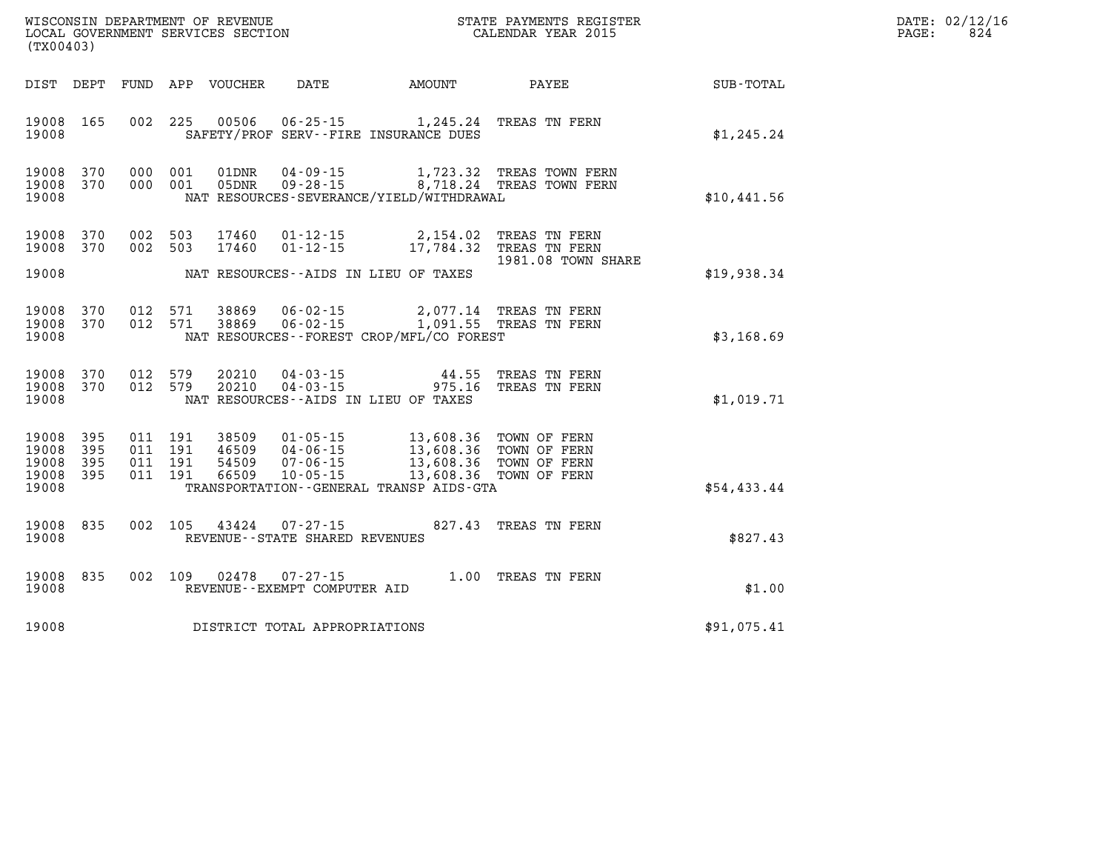| DATE: | 02/12/16 |
|-------|----------|
| PAGE: | 824      |

| WISCONSIN DEPARTMENT OF REVENUE<br>LOCAL GOVERNMENT SERVICES SECTION FOR THE STATE PAYMENTS REGISTER<br>(TY00403)<br>(TX00403) |            |  |         |                                |                                   |                                                                                                                                                                                                                                                                                                                                                                                                |                                                                                                 | $\mathbb{E} \mathbf{R}$                                     | DATE: 02/12/1<br>PAGE: | 824 |
|--------------------------------------------------------------------------------------------------------------------------------|------------|--|---------|--------------------------------|-----------------------------------|------------------------------------------------------------------------------------------------------------------------------------------------------------------------------------------------------------------------------------------------------------------------------------------------------------------------------------------------------------------------------------------------|-------------------------------------------------------------------------------------------------|-------------------------------------------------------------|------------------------|-----|
|                                                                                                                                |            |  |         |                                |                                   |                                                                                                                                                                                                                                                                                                                                                                                                |                                                                                                 | DIST DEPT FUND APP VOUCHER DATE AMOUNT PAYEE PATE SUB-TOTAL |                        |     |
| 19008 165<br>19008                                                                                                             |            |  |         |                                |                                   | 002 225 00506 06-25-15 1,245.24 TREAS TN FERN<br>SAFETY/PROF SERV--FIRE INSURANCE DUES                                                                                                                                                                                                                                                                                                         |                                                                                                 | \$1,245.24                                                  |                        |     |
| 19008 370<br>19008 370<br>19008                                                                                                |            |  |         |                                |                                   | NAT RESOURCES-SEVERANCE/YIELD/WITHDRAWAL                                                                                                                                                                                                                                                                                                                                                       | 000 001 01DNR 04-09-15 1,723.32 TREAS TOWN FERN 000 001 05DNR 09-28-15 8,718.24 TREAS TOWN FERN | \$10,441.56                                                 |                        |     |
| 19008 370<br>19008 370                                                                                                         |            |  | 002 503 | 17460                          |                                   | 002 503 17460 01-12-15 2,154.02 TREAS TN FERN<br>01-12-15 17,784.32 TREAS TN FERN                                                                                                                                                                                                                                                                                                              | 1981.08 TOWN SHARE                                                                              |                                                             |                        |     |
| 19008                                                                                                                          |            |  |         |                                |                                   | NAT RESOURCES--AIDS IN LIEU OF TAXES                                                                                                                                                                                                                                                                                                                                                           |                                                                                                 | \$19,938.34                                                 |                        |     |
| 19008 370<br>19008                                                                                                             | 19008 370  |  |         | 012 571 38869<br>012 571 38869 |                                   | 06-02-15 2,077.14 TREAS TN FERN<br>06-02-15 1,091.55 TREAS TN FERN<br>NAT RESOURCES - - FOREST CROP/MFL/CO FOREST                                                                                                                                                                                                                                                                              |                                                                                                 | \$3,168.69                                                  |                        |     |
| 19008 370<br>19008                                                                                                             | 19008 370  |  |         |                                |                                   | NAT RESOURCES--AIDS IN LIEU OF TAXES                                                                                                                                                                                                                                                                                                                                                           |                                                                                                 | \$1,019.71                                                  |                        |     |
| 19008 395<br>19008<br>19008<br>19008 395<br>19008                                                                              | 395<br>395 |  |         |                                |                                   | $\begin{array}{cccc} 011 & 191 & 38509 & 01\cdot 05\cdot 15 & 13,608.36 & \text{TOWN OF FERN} \\ 011 & 191 & 46509 & 04\cdot 06\cdot 15 & 13,608.36 & \text{TOWN OF FERN} \\ 011 & 191 & 54509 & 07\cdot 06\cdot 15 & 13,608.36 & \text{TOWN OF FERN} \\ 011 & 191 & 66509 & 10\cdot 05\cdot 15 & 13,608.36 & \text{TOWN OF FERN} \end{array}$<br>TRANSPORTATION - - GENERAL TRANSP AIDS - GTA |                                                                                                 | \$54,433.44                                                 |                        |     |
| 19008 835<br>19008                                                                                                             |            |  |         |                                | REVENUE - - STATE SHARED REVENUES | 002 105 43424 07-27-15 827.43 TREAS TN FERN                                                                                                                                                                                                                                                                                                                                                    |                                                                                                 | \$827.43                                                    |                        |     |
| 19008<br>19008                                                                                                                 | 835        |  |         |                                | REVENUE--EXEMPT COMPUTER AID      | 002 109 02478 07-27-15 1.00 TREAS TN FERN                                                                                                                                                                                                                                                                                                                                                      |                                                                                                 | \$1.00                                                      |                        |     |
| 19008                                                                                                                          |            |  |         |                                | DISTRICT TOTAL APPROPRIATIONS     |                                                                                                                                                                                                                                                                                                                                                                                                |                                                                                                 | \$91,075.41                                                 |                        |     |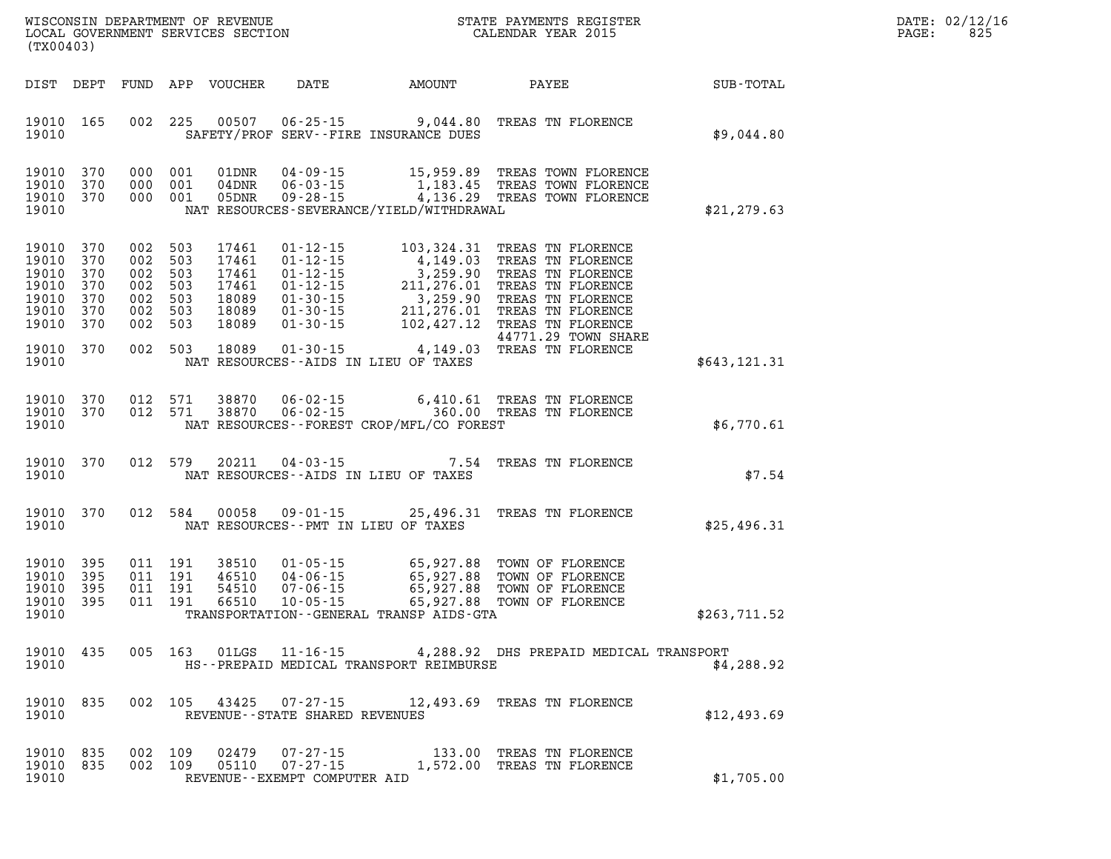| DATE:            | 02/12/16 |
|------------------|----------|
| $\texttt{PAGE:}$ | 825      |

| WISCONSIN DEPARTMENT OF REVENUE<br>LOCAL GOVERNMENT SERVICES SECTION COLLENDAR YEAR 2015<br>(TX00403) |                                        |  |         |               |                                                        | STATE PAYMENTS REGISTER                      |                                                                                                                                                                                                                                                                                                                                             | DATE: 02/12/1<br>825<br>PAGE: |  |
|-------------------------------------------------------------------------------------------------------|----------------------------------------|--|---------|---------------|--------------------------------------------------------|----------------------------------------------|---------------------------------------------------------------------------------------------------------------------------------------------------------------------------------------------------------------------------------------------------------------------------------------------------------------------------------------------|-------------------------------|--|
|                                                                                                       |                                        |  |         |               |                                                        |                                              | DIST DEPT FUND APP VOUCHER DATE AMOUNT PAYEE                                                                                                                                                                                                                                                                                                | SUB-TOTAL                     |  |
| 19010 165<br>19010                                                                                    |                                        |  |         |               |                                                        | SAFETY/PROF SERV--FIRE INSURANCE DUES        | 002 225 00507 06-25-15 9,044.80 TREAS TN FLORENCE                                                                                                                                                                                                                                                                                           | \$9,044.80                    |  |
| 19010 370<br>19010<br>19010 370<br>19010                                                              | 370                                    |  |         |               |                                                        | NAT RESOURCES-SEVERANCE/YIELD/WITHDRAWAL     | 000 001 01DNR 04-09-15 15,959.89 TREAS TOWN FLORENCE<br>000 001 04DNR 06-03-15 1,183.45 TREAS TOWN FLORENCE<br>000 001 05DNR 09-28-15 4,136.29 TREAS TOWN FLORENCE                                                                                                                                                                          | \$21, 279.63                  |  |
| 19010 370<br>19010<br>19010<br>19010<br>19010<br>19010<br>19010                                       | 370<br>370<br>370<br>370<br>370<br>370 |  |         |               |                                                        |                                              | 002 503 17461 01-12-15 103,324.31 TREAS TN FLORENCE<br>002 503 17461 01-12-15 4,149.03 TREAS TN FLORENCE<br>002 503 17461 01-12-15 3,259.90 TREAS TN FLORENCE<br>002 503 18089 01-30-15 3,259.90 TREAS TN FLORENCE<br>002 503 18089 01<br>44771.29 TOWN SHARE                                                                               |                               |  |
| 19010 370<br>19010                                                                                    |                                        |  |         |               |                                                        | NAT RESOURCES--AIDS IN LIEU OF TAXES         |                                                                                                                                                                                                                                                                                                                                             | \$643,121.31                  |  |
| 19010 370<br>19010<br>19010                                                                           | 370                                    |  |         | 012 571 38870 |                                                        | NAT RESOURCES - - FOREST CROP/MFL/CO FOREST  | 012 571 38870 06-02-15 6,410.61 TREAS TN FLORENCE<br>012 571 38870 06-02-15 360.00 TREAS TN FLORENCE                                                                                                                                                                                                                                        | \$6,770.61                    |  |
| 19010 370<br>19010                                                                                    |                                        |  | 012 579 | 20211         | $04 - 03 - 15$                                         | NAT RESOURCES--AIDS IN LIEU OF TAXES         | 7.54 TREAS TN FLORENCE                                                                                                                                                                                                                                                                                                                      | \$7.54                        |  |
| 19010<br>19010                                                                                        | 370                                    |  |         | 012 584 00058 | $09 - 01 - 15$                                         | NAT RESOURCES--PMT IN LIEU OF TAXES          | 25,496.31 TREAS TN FLORENCE                                                                                                                                                                                                                                                                                                                 | \$25,496.31                   |  |
| 19010 395<br>19010<br>19010 395<br>19010 395<br>19010                                                 | 395                                    |  |         |               |                                                        | TRANSPORTATION - - GENERAL TRANSP AIDS - GTA | $\begin{tabular}{cccccc} 011 & 191 & 38510 & 01\text{-}05\text{-}15 & 65,927.88 & \text{TOWN OF FLORENCE} \\ 011 & 191 & 46510 & 04\text{-}06\text{-}15 & 65,927.88 & \text{TOWN OF FLORENCE} \\ 011 & 191 & 54510 & 07\text{-}06\text{-}15 & 65,927.88 & \text{TOWN OF FLORENCE} \\ 011 & 191 & 66510 & 10\text{-}05\text{-}15 & 65,927.8$ | \$263,711.52                  |  |
| 19010 435<br>19010                                                                                    |                                        |  |         |               |                                                        | HS--PREPAID MEDICAL TRANSPORT REIMBURSE      | 005 163 01LGS 11-16-15 4,288.92 DHS PREPAID MEDICAL TRANSPORT                                                                                                                                                                                                                                                                               | \$4,288.92                    |  |
| 19010 835<br>19010                                                                                    |                                        |  |         |               | REVENUE--STATE SHARED REVENUES                         |                                              | 002 105 43425 07-27-15 12,493.69 TREAS TN FLORENCE                                                                                                                                                                                                                                                                                          | \$12,493.69                   |  |
| 19010 835<br>19010 835<br>19010                                                                       |                                        |  | 002 109 |               | 002 109 02479 07-27-15<br>REVENUE--EXEMPT COMPUTER AID |                                              | 133.00 TREAS TN FLORENCE<br>05110 07-27-15 1,572.00 TREAS TN FLORENCE                                                                                                                                                                                                                                                                       | \$1,705.00                    |  |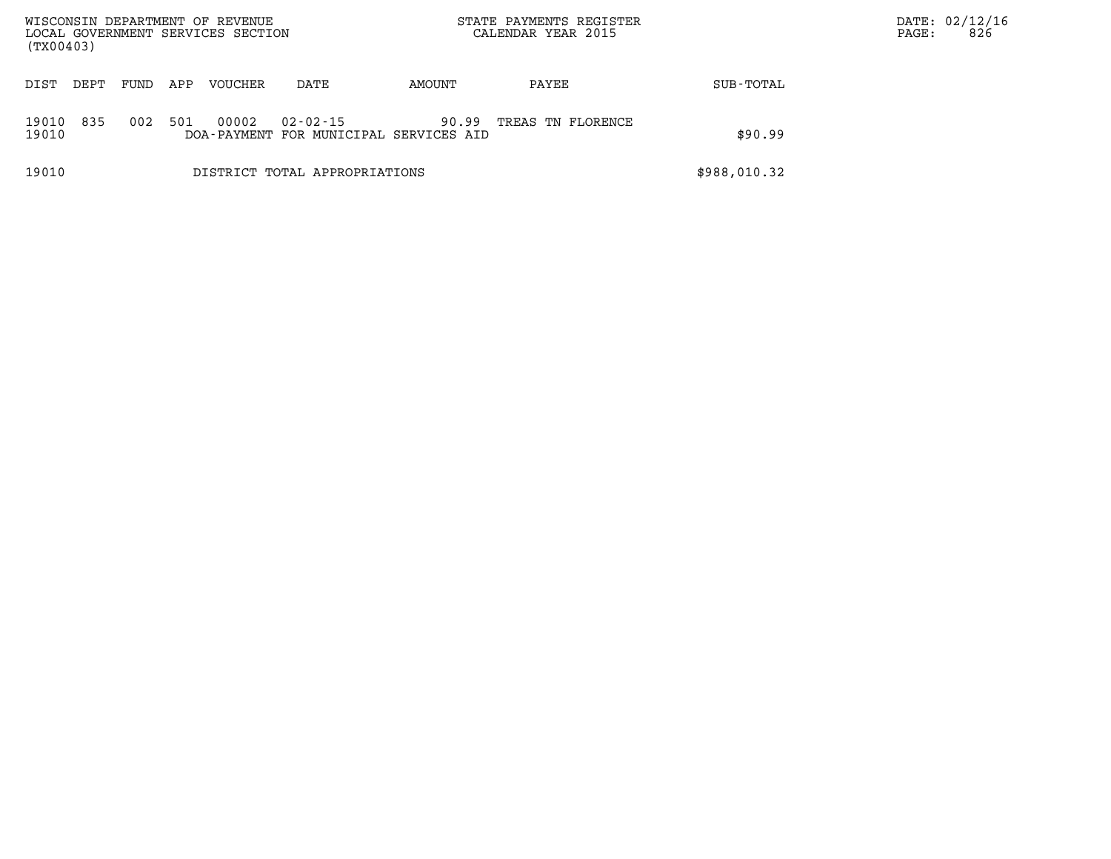| WISCONSIN DEPARTMENT OF REVENUE<br>LOCAL GOVERNMENT SERVICES SECTION<br>(TX00403) |       |      |     |         |                                                          | STATE PAYMENTS REGISTER<br>CALENDAR YEAR 2015 |                   |              | PAGE: | DATE: 02/12/16<br>826 |
|-----------------------------------------------------------------------------------|-------|------|-----|---------|----------------------------------------------------------|-----------------------------------------------|-------------------|--------------|-------|-----------------------|
| DIST                                                                              | DEPT. | FUND | APP | VOUCHER | DATE                                                     | AMOUNT                                        | PAYEE             | SUB-TOTAL    |       |                       |
| 19010<br>19010                                                                    | 835   | 002  | 501 | 00002   | $02 - 02 - 15$<br>DOA-PAYMENT FOR MUNICIPAL SERVICES AID | 90.99                                         | TREAS TN FLORENCE | \$90.99      |       |                       |
| 19010                                                                             |       |      |     |         | DISTRICT TOTAL APPROPRIATIONS                            |                                               |                   | \$988,010.32 |       |                       |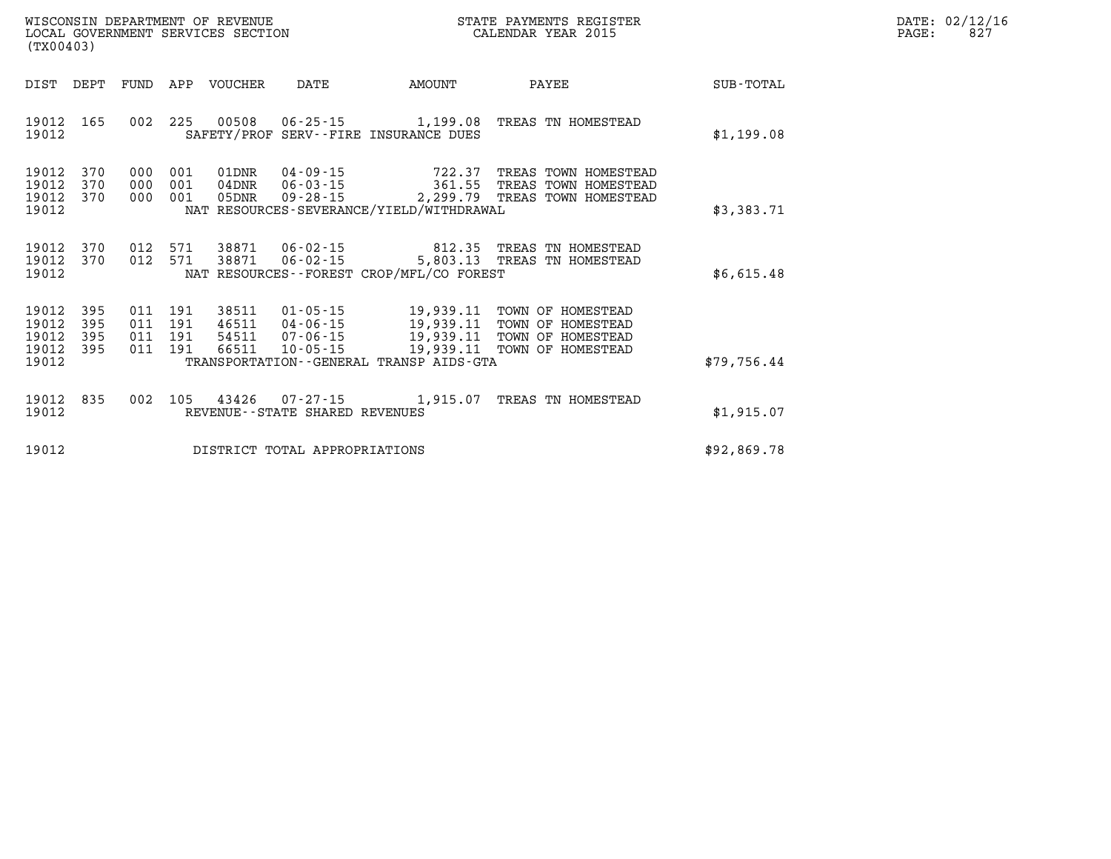| WISCONSIN DEPARTMENT OF REVENUE   | STATE PAYMENTS REGISTER | 02/12/16<br>DATE: |  |
|-----------------------------------|-------------------------|-------------------|--|
| LOCAL GOVERNMENT SERVICES SECTION | CALENDAR YEAR 2015      | 82'<br>PAGE       |  |

| (TX00403)                                                             |                                                                                                                                                                                                             |                                                                                                                                         |                  |
|-----------------------------------------------------------------------|-------------------------------------------------------------------------------------------------------------------------------------------------------------------------------------------------------------|-----------------------------------------------------------------------------------------------------------------------------------------|------------------|
| DIST<br>DEPT                                                          | APP<br><b>FUND</b><br><b>VOUCHER</b><br><b>DATE</b>                                                                                                                                                         | <b>AMOUNT</b><br>PAYEE                                                                                                                  | <b>SUB-TOTAL</b> |
| 165<br>19012<br>19012                                                 | 002<br>225<br>00508<br>$06 - 25 - 15$<br>SAFETY/PROF<br>SERV--FIRE INSURANCE DUES                                                                                                                           | 1,199.08<br>TREAS TN HOMESTEAD                                                                                                          | \$1,199.08       |
| 19012<br>370<br>19012<br>370<br>19012<br>370<br>19012                 | 000<br>001<br>$04 - 09 - 15$<br>01DNR<br>000<br>001<br>$04$ DNR<br>$06 - 03 - 15$<br>001<br>$09 - 28 - 15$<br>000<br>05DNR<br>NAT RESOURCES-SEVERANCE/YIELD/WITHDRAWAL                                      | 722.37<br>TREAS TOWN HOMESTEAD<br>361.55<br>TREAS TOWN HOMESTEAD<br>2,299.79<br>TREAS TOWN HOMESTEAD                                    | \$3,383.71       |
| 19012<br>370<br>19012<br>370<br>19012                                 | 012<br>571<br>38871<br>$06 - 02 - 15$<br>012<br>571<br>38871<br>$06 - 02 - 15$<br>NAT RESOURCES--FOREST CROP/MFL/CO FOREST                                                                                  | 812.35<br>TREAS TN HOMESTEAD<br>5,803.13<br>TREAS TN HOMESTEAD                                                                          | \$6,615.48       |
| 19012<br>395<br>19012<br>395<br>19012<br>395<br>19012<br>395<br>19012 | $01 - 05 - 15$<br>011<br>191<br>38511<br>011<br>191<br>46511<br>$04 - 06 - 15$<br>011<br>191<br>$07 - 06 - 15$<br>54511<br>011<br>191<br>66511<br>$10 - 05 - 15$<br>TRANSPORTATION--GENERAL TRANSP AIDS-GTA | 19,939.11<br>TOWN OF HOMESTEAD<br>19,939.11<br>TOWN OF HOMESTEAD<br>19,939.11<br>TOWN OF HOMESTEAD<br>19,939.11<br>TOWN OF<br>HOMESTEAD | \$79,756.44      |
| 835<br>19012<br>19012                                                 | 002<br>105<br>43426<br>$07 - 27 - 15$<br>REVENUE - - STATE SHARED REVENUES                                                                                                                                  | 1,915.07<br>TREAS<br>TN HOMESTEAD                                                                                                       | \$1,915.07       |
| 19012                                                                 | DISTRICT TOTAL APPROPRIATIONS                                                                                                                                                                               |                                                                                                                                         | \$92,869.78      |

WISCONSIN DEPARTMENT OF REVENUE **STATE PAYMENTS REGISTER**<br>LOCAL GOVERNMENT SERVICES SECTION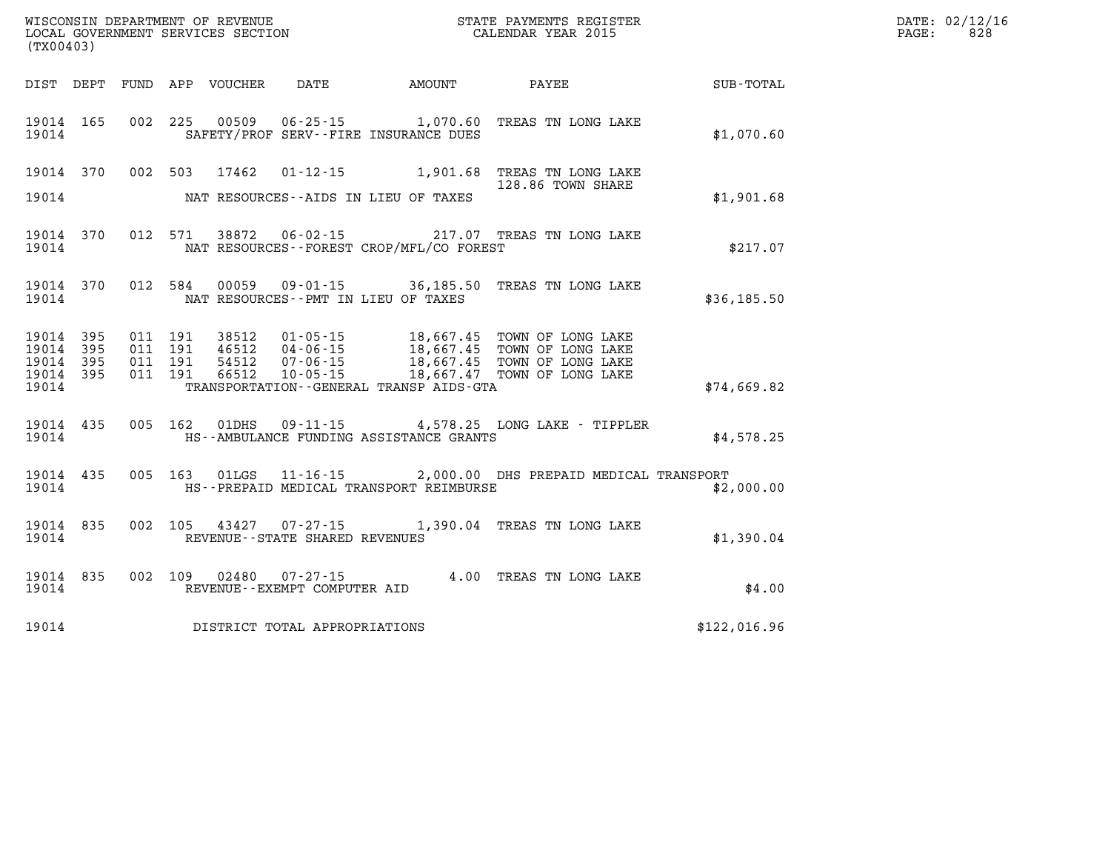| WISCONSIN DEPARTMENT OF REVENUE   | PAYMENTS REGISTER<br>3TATE | DATE: | 02/12/16 |
|-----------------------------------|----------------------------|-------|----------|
| LOCAL GOVERNMENT SERVICES SECTION | CALENDAR YEAR 2015         | PAGE  | 828      |

|                                                           | CALENDAR YEAR 2015<br>LOCAL GOVERNMENT SERVICES SECTION<br>(TX00403) |  |  |  |                                                        |                                              |                                                                         |              | PAGE: | 828 |
|-----------------------------------------------------------|----------------------------------------------------------------------|--|--|--|--------------------------------------------------------|----------------------------------------------|-------------------------------------------------------------------------|--------------|-------|-----|
|                                                           |                                                                      |  |  |  |                                                        |                                              | DIST DEPT FUND APP VOUCHER DATE AMOUNT PAYEE SUB-TOTAL                  |              |       |     |
| 19014 165<br>19014                                        |                                                                      |  |  |  |                                                        | SAFETY/PROF SERV--FIRE INSURANCE DUES        | 002 225 00509 06-25-15 1,070.60 TREAS TN LONG LAKE                      | \$1,070.60   |       |     |
|                                                           | 19014 370                                                            |  |  |  |                                                        | 19014 MAT RESOURCES--AIDS IN LIEU OF TAXES   | 002 503 17462 01-12-15 1,901.68 TREAS TN LONG LAKE<br>128.86 TOWN SHARE | \$1,901.68   |       |     |
| 19014 370<br>19014                                        |                                                                      |  |  |  |                                                        | NAT RESOURCES--FOREST CROP/MFL/CO FOREST     | 012 571 38872 06-02-15 217.07 TREAS TN LONG LAKE                        | \$217.07     |       |     |
| 19014                                                     |                                                                      |  |  |  |                                                        | NAT RESOURCES--PMT IN LIEU OF TAXES          | 19014 370 012 584 00059 09-01-15 36,185.50 TREAS TN LONG LAKE           | \$36,185.50  |       |     |
| 19014 395<br>19014 395<br>19014 395<br>19014 395<br>19014 |                                                                      |  |  |  |                                                        | TRANSPORTATION - - GENERAL TRANSP AIDS - GTA |                                                                         | \$74,669.82  |       |     |
| 19014                                                     | 19014 435                                                            |  |  |  |                                                        | HS--AMBULANCE FUNDING ASSISTANCE GRANTS      | 005 162 01DHS 09-11-15 4,578.25 LONG LAKE - TIPPLER                     | \$4,578.25   |       |     |
| 19014                                                     | 19014 435                                                            |  |  |  |                                                        | HS--PREPAID MEDICAL TRANSPORT REIMBURSE      | 005 163 01LGS 11-16-15 2,000.00 DHS PREPAID MEDICAL TRANSPORT           | \$2,000.00   |       |     |
| 19014 835<br>19014                                        |                                                                      |  |  |  | REVENUE - - STATE SHARED REVENUES                      |                                              | 002 105 43427 07-27-15 1,390.04 TREAS TN LONG LAKE                      | \$1,390.04   |       |     |
| 19014 835<br>19014                                        |                                                                      |  |  |  | 002 109 02480 07-27-15<br>REVENUE--EXEMPT COMPUTER AID |                                              | 4.00 TREAS TN LONG LAKE                                                 | \$4.00       |       |     |
|                                                           |                                                                      |  |  |  | 19014 DISTRICT TOTAL APPROPRIATIONS                    |                                              |                                                                         | \$122,016.96 |       |     |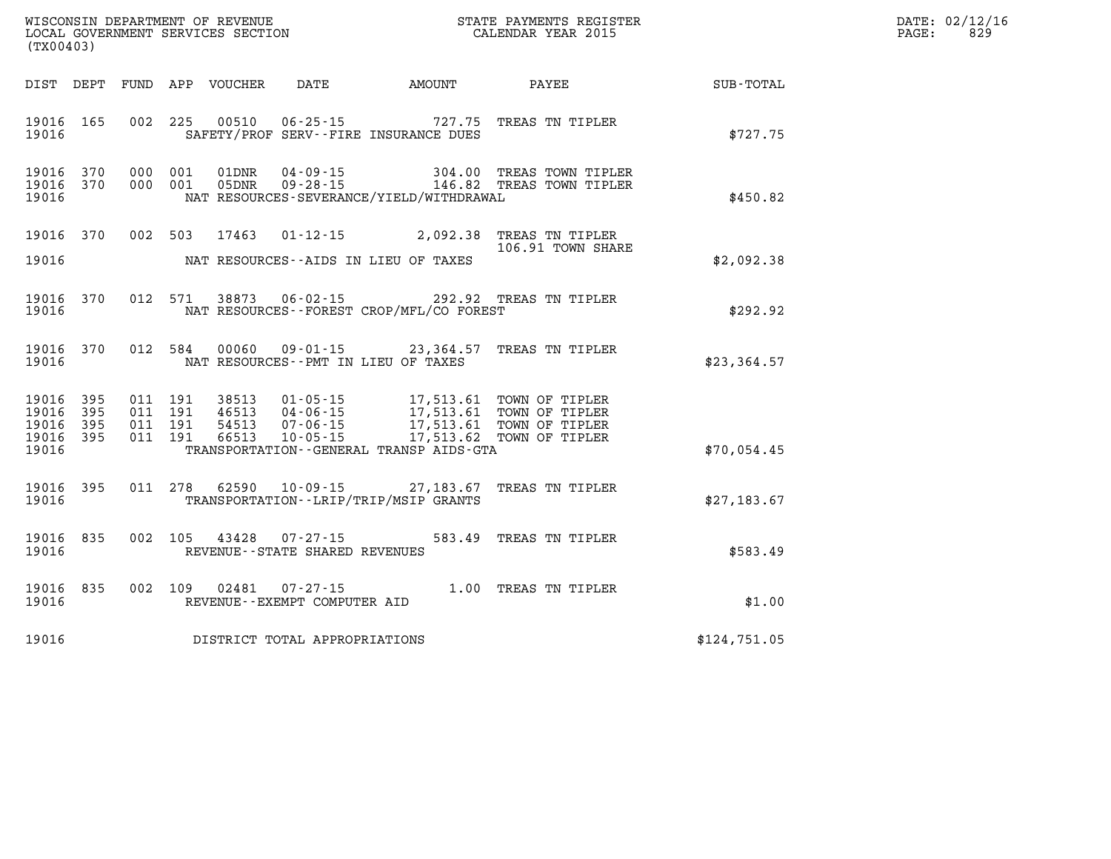| DATE: | 02/12/16 |
|-------|----------|
| PAGE: | 829      |

| WISCONSIN DEPARTMENT OF REVENUE<br>LOCAL GOVERNMENT SERVICES SECTION THE STATE PAYMENTS REGIST<br>(TYAOAA2)<br>STATE PAYMENTS REGISTER<br>(TX00403) |  |         |                            |                                                        |                                              |                                                                                                                                                                                                          |                             | DATE: 02/12/1<br>829<br>PAGE: |
|-----------------------------------------------------------------------------------------------------------------------------------------------------|--|---------|----------------------------|--------------------------------------------------------|----------------------------------------------|----------------------------------------------------------------------------------------------------------------------------------------------------------------------------------------------------------|-----------------------------|-------------------------------|
|                                                                                                                                                     |  |         | DIST DEPT FUND APP VOUCHER |                                                        |                                              |                                                                                                                                                                                                          | DATE AMOUNT PAYEE SUB-TOTAL |                               |
| 19016 165<br>19016                                                                                                                                  |  | 002 225 |                            |                                                        | SAFETY/PROF SERV--FIRE INSURANCE DUES        | 00510  06-25-15  727.75  TREAS TN TIPLER                                                                                                                                                                 | \$727.75                    |                               |
| 19016 370<br>19016 370<br>19016                                                                                                                     |  |         |                            |                                                        | NAT RESOURCES-SEVERANCE/YIELD/WITHDRAWAL     | 000 001 01DNR 04-09-15 304.00 TREAS TOWN TIPLER<br>000 001 05DNR 09-28-15 146.82 TREAS TOWN TIPLER                                                                                                       | \$450.82                    |                               |
| 19016 370<br>19016                                                                                                                                  |  |         |                            |                                                        | NAT RESOURCES--AIDS IN LIEU OF TAXES         | 002 503 17463 01-12-15 2,092.38 TREAS TN TIPLER<br>106.91 TOWN SHARE                                                                                                                                     | \$2,092.38                  |                               |
| 19016 370<br>19016                                                                                                                                  |  | 012 571 |                            |                                                        | NAT RESOURCES - - FOREST CROP/MFL/CO FOREST  | 38873  06-02-15  292.92  TREAS TN TIPLER                                                                                                                                                                 | \$292.92                    |                               |
| 19016 370<br>19016                                                                                                                                  |  | 012 584 |                            |                                                        | NAT RESOURCES--PMT IN LIEU OF TAXES          | 00060  09-01-15  23,364.57  TREAS TN TIPLER                                                                                                                                                              | \$23, 364.57                |                               |
| 19016 395<br>19016 395<br>19016 395<br>19016 395<br>19016                                                                                           |  |         |                            |                                                        | TRANSPORTATION - - GENERAL TRANSP AIDS - GTA | 011 191 38513 01-05-15 17,513.61 TOWN OF TIPLER<br>011 191 46513 04-06-15 17,513.61 TOWN OF TIPLER<br>011 191 54513 07-06-15 17,513.61 TOWN OF TIPLER<br>011 191 66513 10-05-15 17,513.62 TOWN OF TIPLER | \$70,054.45                 |                               |
| 19016 395<br>19016                                                                                                                                  |  |         |                            |                                                        | TRANSPORTATION - - LRIP/TRIP/MSIP GRANTS     | 011 278 62590 10-09-15 27,183.67 TREAS TN TIPLER                                                                                                                                                         | \$27,183.67                 |                               |
| 19016 835<br>19016                                                                                                                                  |  |         |                            | REVENUE--STATE SHARED REVENUES                         |                                              | 002 105 43428 07-27-15 583.49 TREAS TN TIPLER                                                                                                                                                            | \$583.49                    |                               |
| 19016 835<br>19016                                                                                                                                  |  |         |                            | 002 109 02481 07-27-15<br>REVENUE--EXEMPT COMPUTER AID |                                              | 1.00 TREAS TN TIPLER                                                                                                                                                                                     | \$1.00                      |                               |
|                                                                                                                                                     |  |         |                            | 19016 DISTRICT TOTAL APPROPRIATIONS                    |                                              |                                                                                                                                                                                                          | \$124,751.05                |                               |